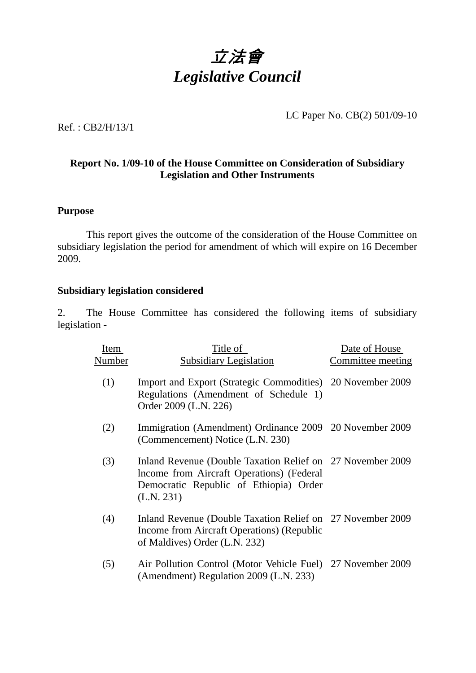

LC Paper No. CB(2) 501/09-10

Ref. : CB2/H/13/1

## **Report No. 1/09-10 of the House Committee on Consideration of Subsidiary Legislation and Other Instruments**

## **Purpose**

**1** This report gives the outcome of the consideration of the House Committee on subsidiary legislation the period for amendment of which will expire on 16 December 2009.

## **Subsidiary legislation considered**

2. The House Committee has considered the following items of subsidiary legislation -

| Item   | Title of                                                                                                                                                         | Date of House     |
|--------|------------------------------------------------------------------------------------------------------------------------------------------------------------------|-------------------|
| Number | <b>Subsidiary Legislation</b>                                                                                                                                    | Committee meeting |
| (1)    | Import and Export (Strategic Commodities) 20 November 2009<br>Regulations (Amendment of Schedule 1)<br>Order 2009 (L.N. 226)                                     |                   |
| (2)    | Immigration (Amendment) Ordinance 2009 20 November 2009<br>(Commencement) Notice (L.N. 230)                                                                      |                   |
| (3)    | Inland Revenue (Double Taxation Relief on 27 November 2009)<br>Income from Aircraft Operations) (Federal<br>Democratic Republic of Ethiopia) Order<br>(L.N. 231) |                   |
| (4)    | Inland Revenue (Double Taxation Relief on 27 November 2009)<br>Income from Aircraft Operations) (Republic<br>of Maldives) Order (L.N. 232)                       |                   |
| (5)    | Air Pollution Control (Motor Vehicle Fuel)<br>(Amendment) Regulation 2009 (L.N. 233)                                                                             | 27 November 2009  |